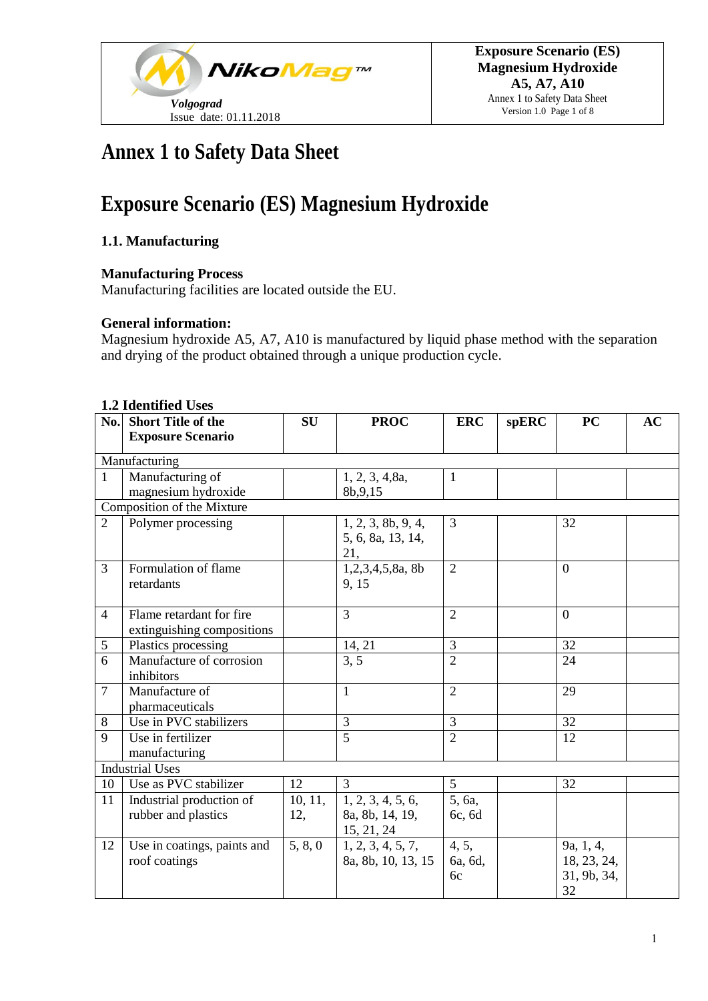

# **Annex 1 to Safety Data Sheet**

# **Exposure Scenario (ES) Magnesium Hydroxide**

## **1.1. Manufacturing**

### **Manufacturing Process**

Manufacturing facilities are located outside the EU.

### **General information:**

Magnesium hydroxide A5, A7, A10 is manufactured by liquid phase method with the separation and drying of the product obtained through a unique production cycle.

|                | 1.4 Iuenuneu Oses<br>No. Short Title of the | <b>SU</b> | <b>PROC</b>        | <b>ERC</b>     | spERC | <b>PC</b>   | <b>AC</b> |
|----------------|---------------------------------------------|-----------|--------------------|----------------|-------|-------------|-----------|
|                | <b>Exposure Scenario</b>                    |           |                    |                |       |             |           |
|                |                                             |           |                    |                |       |             |           |
|                | Manufacturing                               |           |                    |                |       |             |           |
| $\mathbf{1}$   | Manufacturing of                            |           | 1, 2, 3, 4, 8a,    | $\mathbf{1}$   |       |             |           |
|                | magnesium hydroxide                         |           | 8b, 9, 15          |                |       |             |           |
|                | Composition of the Mixture                  |           |                    |                |       |             |           |
| $\overline{2}$ | Polymer processing                          |           | 1, 2, 3, 8b, 9, 4, | $\overline{3}$ |       | 32          |           |
|                |                                             |           | 5, 6, 8a, 13, 14,  |                |       |             |           |
|                |                                             |           | 21,                |                |       |             |           |
| $\overline{3}$ | Formulation of flame                        |           | 1,2,3,4,5,8a, 8b   | $\overline{2}$ |       | $\theta$    |           |
|                | retardants                                  |           | 9, 15              |                |       |             |           |
|                |                                             |           |                    |                |       |             |           |
| $\overline{4}$ | Flame retardant for fire                    |           | $\overline{3}$     | $\overline{2}$ |       | $\theta$    |           |
|                | extinguishing compositions                  |           |                    |                |       |             |           |
| 5              | Plastics processing                         |           | 14, 21             | $\overline{3}$ |       | 32          |           |
| 6              | Manufacture of corrosion                    |           | 3, 5               | $\overline{2}$ |       | 24          |           |
|                | inhibitors                                  |           |                    |                |       |             |           |
| $\overline{7}$ | Manufacture of                              |           | $\mathbf{1}$       | $\overline{2}$ |       | 29          |           |
|                | pharmaceuticals                             |           |                    |                |       |             |           |
| 8              | Use in PVC stabilizers                      |           | $\overline{3}$     | $\overline{3}$ |       | 32          |           |
| 9              | Use in fertilizer                           |           | 5                  | $\overline{2}$ |       | 12          |           |
|                | manufacturing                               |           |                    |                |       |             |           |
|                | <b>Industrial Uses</b>                      |           |                    |                |       |             |           |
| 10             | Use as PVC stabilizer                       | 12        | 3                  | 5              |       | 32          |           |
| 11             | Industrial production of                    | 10, 11,   | 1, 2, 3, 4, 5, 6,  | 5, 6a,         |       |             |           |
|                | rubber and plastics                         | 12,       | 8a, 8b, 14, 19,    | 6c, 6d         |       |             |           |
|                |                                             |           | 15, 21, 24         |                |       |             |           |
| 12             | Use in coatings, paints and                 | 5, 8, 0   | 1, 2, 3, 4, 5, 7,  | 4, 5,          |       | 9a, 1, 4,   |           |
|                | roof coatings                               |           | 8a, 8b, 10, 13, 15 | 6a, 6d,        |       | 18, 23, 24, |           |
|                |                                             |           |                    | 6c             |       | 31, 9b, 34, |           |
|                |                                             |           |                    |                |       | 32          |           |

#### **1.2 Identified Uses**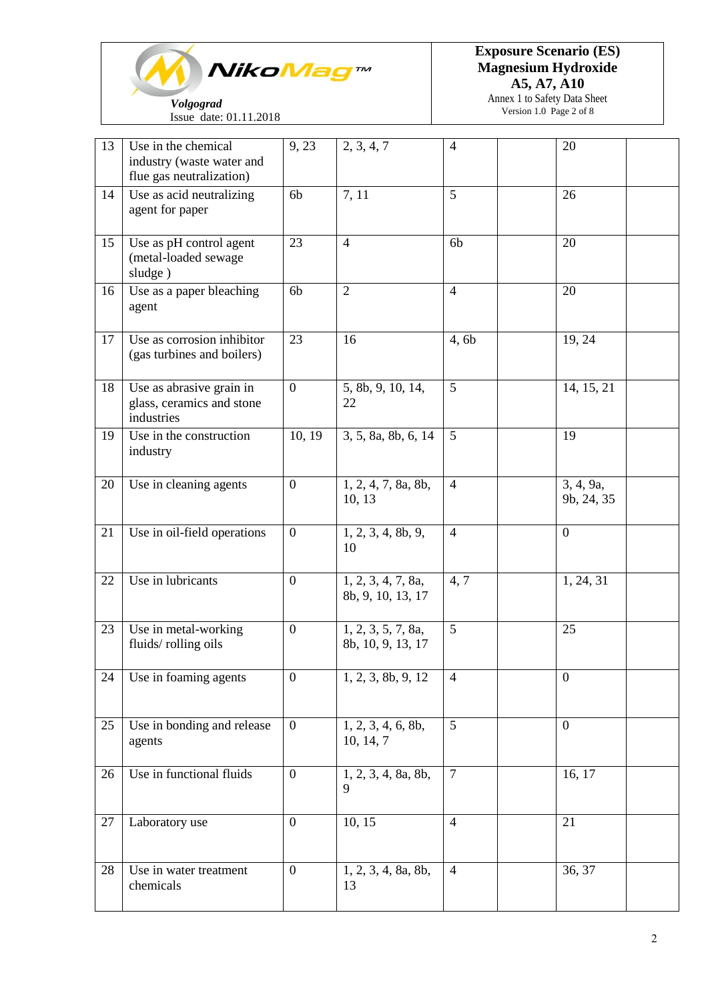

**Exposure Scenario (ES) Magnesium Hydroxide A5, A7, A10**

Annex 1 to Safety Data Sheet Version 1.0 Page 2 of 8

| <b>Volgograd</b>       |
|------------------------|
| Issue date: 01.11.2018 |

| 13 | Use in the chemical<br>industry (waste water and<br>flue gas neutralization) | 9, 23          | 2, 3, 4, 7                              | $\overline{4}$ | 20                      |
|----|------------------------------------------------------------------------------|----------------|-----------------------------------------|----------------|-------------------------|
| 14 | Use as acid neutralizing<br>agent for paper                                  | 6b             | 7, 11                                   | 5              | 26                      |
| 15 | Use as pH control agent<br>(metal-loaded sewage<br>sludge)                   | 23             | $\overline{4}$                          | 6 <sub>b</sub> | 20                      |
| 16 | Use as a paper bleaching<br>agent                                            | 6b             | $\overline{2}$                          | $\overline{4}$ | 20                      |
| 17 | Use as corrosion inhibitor<br>(gas turbines and boilers)                     | 23             | 16                                      | 4,6b           | 19, 24                  |
| 18 | Use as abrasive grain in<br>glass, ceramics and stone<br>industries          | $\overline{0}$ | 5, 8b, 9, 10, 14,<br>22                 | 5              | 14, 15, 21              |
| 19 | Use in the construction<br>industry                                          | 10, 19         | 3, 5, 8a, 8b, 6, 14                     | 5              | 19                      |
| 20 | Use in cleaning agents                                                       | $\mathbf{0}$   | 1, 2, 4, 7, 8a, 8b,<br>10, 13           | $\overline{4}$ | 3, 4, 9a,<br>9b, 24, 35 |
| 21 | Use in oil-field operations                                                  | $\overline{0}$ | 1, 2, 3, 4, 8b, 9,<br>10                | $\overline{4}$ | $\mathbf{0}$            |
| 22 | Use in lubricants                                                            | $\mathbf{0}$   | 1, 2, 3, 4, 7, 8a,<br>8b, 9, 10, 13, 17 | 4, 7           | 1, 24, 31               |
| 23 | Use in metal-working<br>fluids/rolling oils                                  | $\mathbf{0}$   | 1, 2, 3, 5, 7, 8a,<br>8b, 10, 9, 13, 17 | 5              | 25                      |
| 24 | Use in foaming agents                                                        | $\mathbf{0}$   | 1, 2, 3, 8b, 9, 12                      | $\overline{4}$ | $\boldsymbol{0}$        |
| 25 | Use in bonding and release<br>agents                                         | $\mathbf{0}$   | 1, 2, 3, 4, 6, 8b,<br>10, 14, 7         | 5              | $\mathbf{0}$            |
| 26 | Use in functional fluids                                                     | $\mathbf{0}$   | 1, 2, 3, 4, 8a, 8b,<br>9                | $\overline{7}$ | 16, 17                  |
| 27 | Laboratory use                                                               | $\overline{0}$ | 10, 15                                  | $\overline{4}$ | 21                      |
| 28 | Use in water treatment<br>chemicals                                          | $\mathbf{0}$   | 1, 2, 3, 4, 8a, 8b,<br>13               | $\overline{4}$ | 36, 37                  |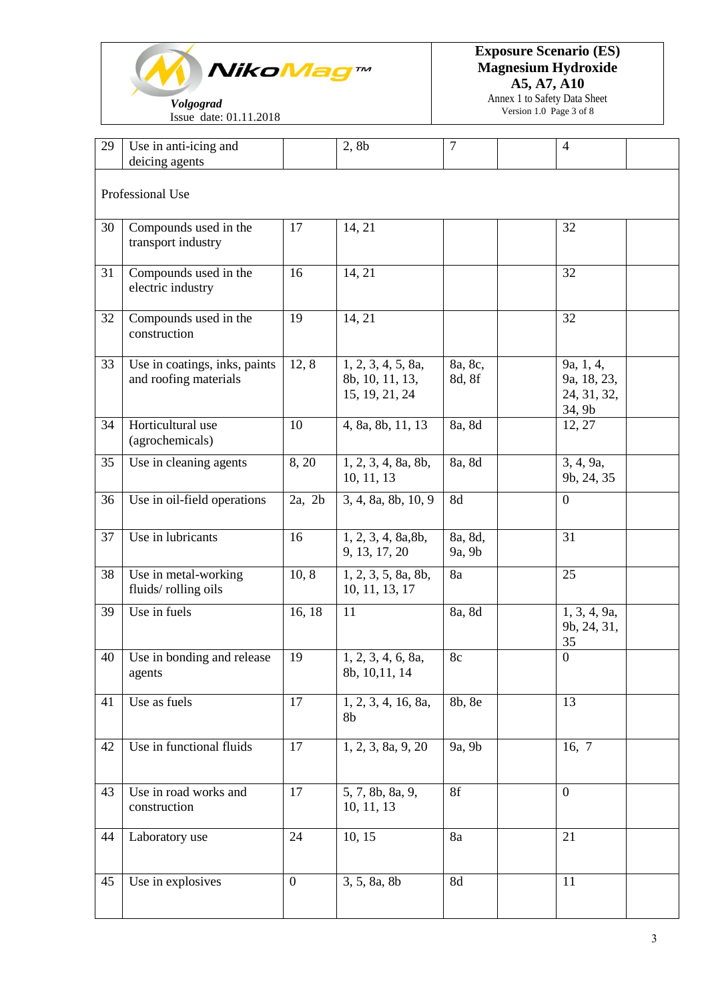

 *Volgograd* Issue date: 01.11.2018 **Exposure Scenario (ES) Magnesium Hydroxide A5, A7, A10**

> Annex 1 to Safety Data Sheet Version 1.0 Page 3 of 8

| 29 | Use in anti-icing and                                  |                  | 2, 8b                                                   | $\overline{7}$    | $\overline{4}$                                    |
|----|--------------------------------------------------------|------------------|---------------------------------------------------------|-------------------|---------------------------------------------------|
|    | deicing agents                                         |                  |                                                         |                   |                                                   |
|    | Professional Use                                       |                  |                                                         |                   |                                                   |
|    |                                                        |                  |                                                         |                   |                                                   |
| 30 | Compounds used in the<br>transport industry            | 17               | 14, 21                                                  |                   | 32                                                |
| 31 | Compounds used in the<br>electric industry             | 16               | 14, 21                                                  |                   | 32                                                |
| 32 | Compounds used in the<br>construction                  | 19               | 14, 21                                                  |                   | 32                                                |
| 33 | Use in coatings, inks, paints<br>and roofing materials | 12, 8            | 1, 2, 3, 4, 5, 8a,<br>8b, 10, 11, 13,<br>15, 19, 21, 24 | 8a, 8c,<br>8d, 8f | 9a, 1, 4,<br>9a, 18, 23,<br>24, 31, 32,<br>34, 9b |
| 34 | Horticultural use<br>(agrochemicals)                   | 10               | 4, 8a, 8b, 11, 13                                       | 8a, 8d            | 12, 27                                            |
| 35 | Use in cleaning agents                                 | 8, 20            | 1, 2, 3, 4, 8a, 8b,<br>10, 11, 13                       | 8a, 8d            | 3, 4, 9a,<br>9b, 24, 35                           |
| 36 | Use in oil-field operations                            | $2a$ , $2b$      | 3, 4, 8a, 8b, 10, 9                                     | 8d                | $\overline{0}$                                    |
| 37 | Use in lubricants                                      | 16               | 1, 2, 3, 4, 8a, 8b,<br>9, 13, 17, 20                    | 8a, 8d,<br>9a, 9b | 31                                                |
| 38 | Use in metal-working<br>fluids/rolling oils            | 10, 8            | 1, 2, 3, 5, 8a, 8b,<br>10, 11, 13, 17                   | 8a                | 25                                                |
| 39 | Use in fuels                                           | 16, 18           | 11                                                      | 8a, 8d            | 1, 3, 4, 9a,<br>9b, 24, 31,<br>35                 |
| 40 | Use in bonding and release<br>agents                   | 19               | 1, 2, 3, 4, 6, 8a,<br>8b, 10, 11, 14                    | 8c                | $\boldsymbol{0}$                                  |
| 41 | Use as fuels                                           | 17               | 1, 2, 3, 4, 16, 8a,<br>8b                               | 8b, 8e            | 13                                                |
| 42 | Use in functional fluids                               | 17               | 1, 2, 3, 8a, 9, 20                                      | 9a, 9b            | 16, $7 \overline{ }$                              |
| 43 | Use in road works and<br>construction                  | 17               | 5, 7, 8b, 8a, 9,<br>10, 11, 13                          | 8f                | $\overline{0}$                                    |
| 44 | Laboratory use                                         | 24               | 10, 15                                                  | 8a                | 21                                                |
| 45 | Use in explosives                                      | $\boldsymbol{0}$ | 3, 5, 8a, 8b                                            | <b>8d</b>         | 11                                                |
|    |                                                        |                  |                                                         |                   |                                                   |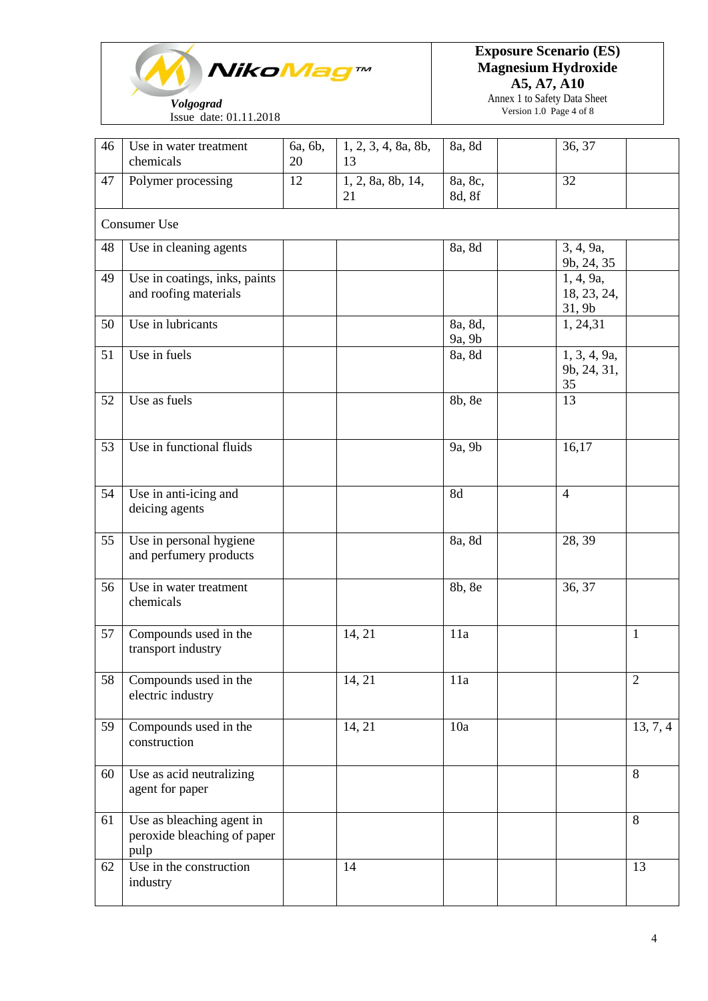

### **Exposure Scenario (ES) Magnesium Hydroxide A5, A7, A10**

Annex 1 to Safety Data Sheet Version 1.0 Page 4 of 8

| 46 | Use in water treatment<br>chemicals                              | 6a, 6b,<br>20 | 1, 2, 3, 4, 8a, 8b,<br>13 | 8a, 8d            | 36, 37                             |                        |
|----|------------------------------------------------------------------|---------------|---------------------------|-------------------|------------------------------------|------------------------|
| 47 | Polymer processing                                               | 12            | 1, 2, 8a, 8b, 14,<br>21   | 8a, 8c,<br>8d, 8f | 32                                 |                        |
|    | <b>Consumer Use</b>                                              |               |                           |                   |                                    |                        |
| 48 | Use in cleaning agents                                           |               |                           | 8a, 8d            | 3, 4, 9a,<br>9b, 24, 35            |                        |
| 49 | Use in coatings, inks, paints<br>and roofing materials           |               |                           |                   | 1, 4, 9a,<br>18, 23, 24,<br>31, 9b |                        |
| 50 | Use in lubricants                                                |               |                           | 8a, 8d,<br>9a, 9b | 1, 24, 31                          |                        |
| 51 | Use in fuels                                                     |               |                           | 8a, 8d            | 1, 3, 4, 9a,<br>9b, 24, 31,<br>35  |                        |
| 52 | Use as fuels                                                     |               |                           | 8b, 8e            | 13                                 |                        |
| 53 | Use in functional fluids                                         |               |                           | 9a, 9b            | 16,17                              |                        |
| 54 | Use in anti-icing and<br>deicing agents                          |               |                           | 8d                | $\overline{4}$                     |                        |
| 55 | Use in personal hygiene<br>and perfumery products                |               |                           | 8a, 8d            | 28, 39                             |                        |
| 56 | Use in water treatment<br>chemicals                              |               |                           | 8b, 8e            | 36, 37                             |                        |
| 57 | Compounds used in the<br>transport industry                      |               | 14, 21                    | 11a               |                                    | $\mathbf{1}$           |
| 58 | Compounds used in the<br>electric industry                       |               | 14, 21                    | 11a               |                                    | $\overline{2}$         |
| 59 | Compounds used in the<br>construction                            |               | 14, 21                    | 10a               |                                    | $\overline{13, 7}$ , 4 |
| 60 | Use as acid neutralizing<br>agent for paper                      |               |                           |                   |                                    | 8                      |
| 61 | Use as bleaching agent in<br>peroxide bleaching of paper<br>pulp |               |                           |                   |                                    | 8                      |
| 62 | Use in the construction<br>industry                              |               | 14                        |                   |                                    | 13                     |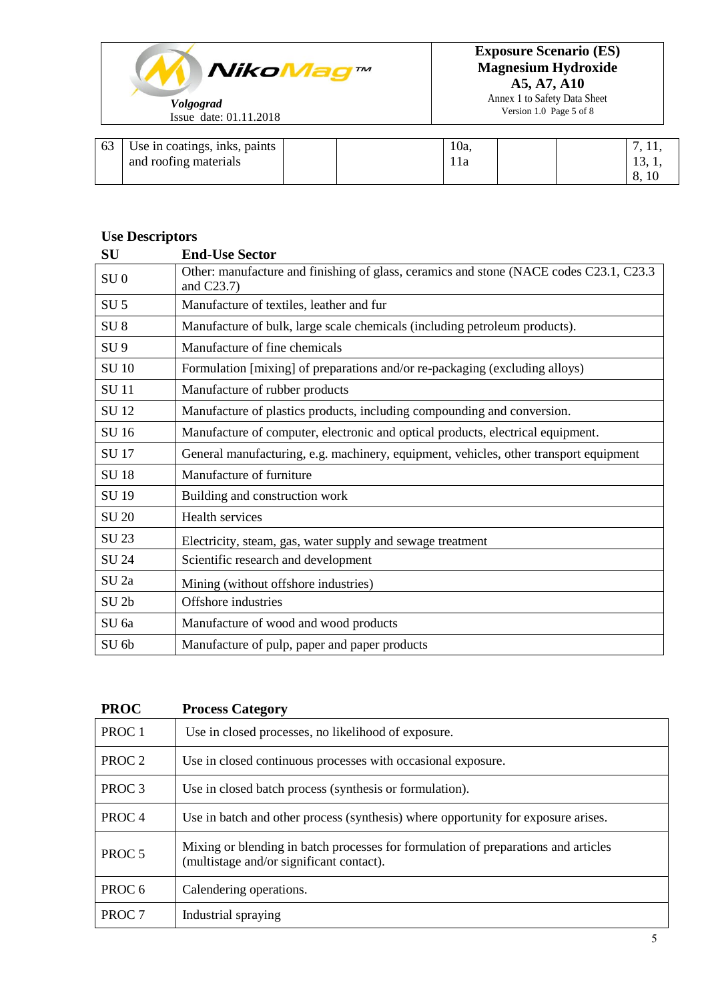

Annex 1 to Safety Data Sheet Version 1.0 Page 5 of 8

| 63 | Use in coatings, inks, paints |  | 10a |  | ,      |
|----|-------------------------------|--|-----|--|--------|
|    | and roofing materials         |  |     |  | 1J, 1, |
|    |                               |  |     |  | 8, 10  |

## **Use Descriptors**

| SU               | <b>End-Use Sector</b>                                                                                    |
|------------------|----------------------------------------------------------------------------------------------------------|
| SU <sub>0</sub>  | Other: manufacture and finishing of glass, ceramics and stone (NACE codes C23.1, C23.3)<br>and $C23.7$ ) |
| SU <sub>5</sub>  | Manufacture of textiles, leather and fur                                                                 |
| SU <sub>8</sub>  | Manufacture of bulk, large scale chemicals (including petroleum products).                               |
| SU <sub>9</sub>  | Manufacture of fine chemicals                                                                            |
| <b>SU 10</b>     | Formulation [mixing] of preparations and/or re-packaging (excluding alloys)                              |
| <b>SU11</b>      | Manufacture of rubber products                                                                           |
| <b>SU12</b>      | Manufacture of plastics products, including compounding and conversion.                                  |
| SU 16            | Manufacture of computer, electronic and optical products, electrical equipment.                          |
| <b>SU17</b>      | General manufacturing, e.g. machinery, equipment, vehicles, other transport equipment                    |
| <b>SU18</b>      | Manufacture of furniture                                                                                 |
| SU 19            | Building and construction work                                                                           |
| <b>SU 20</b>     | Health services                                                                                          |
| SU 23            | Electricity, steam, gas, water supply and sewage treatment                                               |
| SU 24            | Scientific research and development                                                                      |
| SU <sub>2a</sub> | Mining (without offshore industries)                                                                     |
| SU <sub>2b</sub> | Offshore industries                                                                                      |
| SU 6a            | Manufacture of wood and wood products                                                                    |
| SU 6b            | Manufacture of pulp, paper and paper products                                                            |

| <b>PROC</b>       | <b>Process Category</b>                                                                                                        |
|-------------------|--------------------------------------------------------------------------------------------------------------------------------|
| PROC <sub>1</sub> | Use in closed processes, no likelihood of exposure.                                                                            |
| PROC <sub>2</sub> | Use in closed continuous processes with occasional exposure.                                                                   |
| PROC <sub>3</sub> | Use in closed batch process (synthesis or formulation).                                                                        |
| PROC <sub>4</sub> | Use in batch and other process (synthesis) where opportunity for exposure arises.                                              |
| PROC <sub>5</sub> | Mixing or blending in batch processes for formulation of preparations and articles<br>(multistage and/or significant contact). |
| PROC <sub>6</sub> | Calendering operations.                                                                                                        |
| PROC <sub>7</sub> | Industrial spraying                                                                                                            |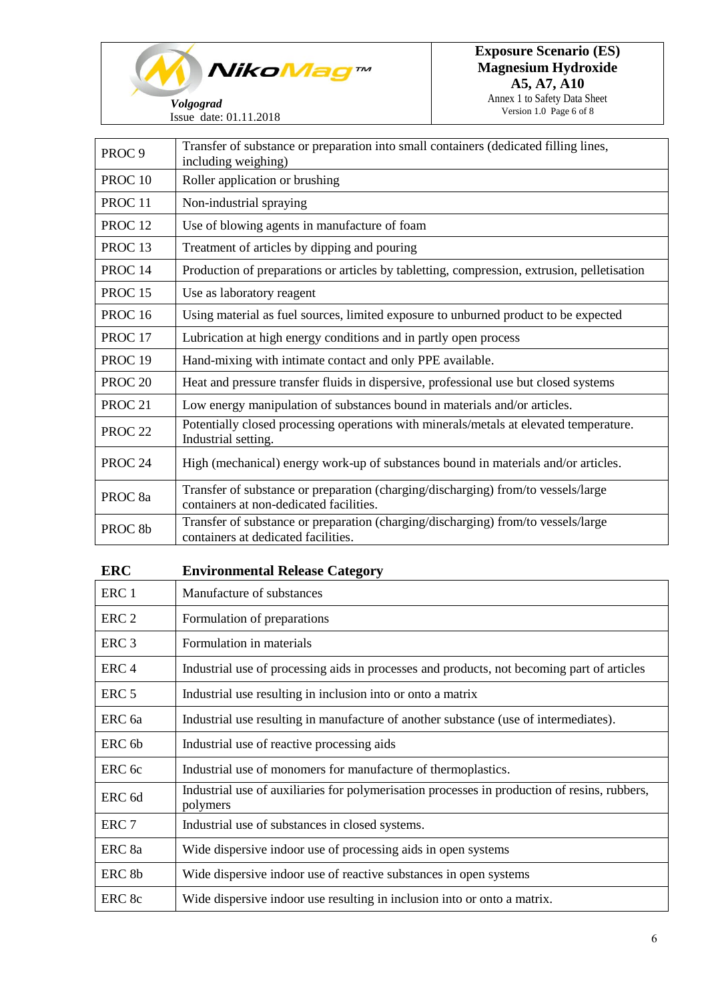

Issue date: 01.11

|                    | Issue date: 01.11.2018                                                                                      | $\sqrt{a}$ |
|--------------------|-------------------------------------------------------------------------------------------------------------|------------|
| PROC <sub>9</sub>  | Transfer of substance or preparation into small containers (dedicated filling lines,<br>including weighing) |            |
| PROC <sub>10</sub> | Roller application or brushing                                                                              |            |
| PROC <sub>11</sub> | Non-industrial spraying                                                                                     |            |
| PROC <sub>12</sub> | Use of blowing agents in manufacture of foam                                                                |            |
| PROC <sub>13</sub> | Treatment of articles by dipping and pouring                                                                |            |
| PROC <sub>14</sub> | Production of preparations or articles by tabletting, compression, extrusion, pelletisation                 |            |
| <b>PROC 15</b>     | Use as laboratory reagent                                                                                   |            |
| PROC $16$          | Using material as fuel sources limited exposure to unburned product to be expected                          |            |

| <b>PROC</b> 16     | Using material as fuel sources, limited exposure to unburned product to be expected                                          |
|--------------------|------------------------------------------------------------------------------------------------------------------------------|
| PROC <sub>17</sub> | Lubrication at high energy conditions and in partly open process                                                             |
| PROC <sub>19</sub> | Hand-mixing with intimate contact and only PPE available.                                                                    |
| PROC <sub>20</sub> | Heat and pressure transfer fluids in dispersive, professional use but closed systems                                         |
| PROC <sub>21</sub> | Low energy manipulation of substances bound in materials and/or articles.                                                    |
| PROC <sub>22</sub> | Potentially closed processing operations with minerals/metals at elevated temperature.<br>Industrial setting.                |
| PROC <sub>24</sub> | High (mechanical) energy work-up of substances bound in materials and/or articles.                                           |
| PROC <sub>8a</sub> | Transfer of substance or preparation (charging/discharging) from/to vessels/large<br>containers at non-dedicated facilities. |
| PROC <sub>8b</sub> | Transfer of substance or preparation (charging/discharging) from/to vessels/large<br>containers at dedicated facilities.     |

| <b>ERC</b>        | <b>Environmental Release Category</b>                                                                    |
|-------------------|----------------------------------------------------------------------------------------------------------|
| ERC <sub>1</sub>  | Manufacture of substances                                                                                |
| ERC <sub>2</sub>  | Formulation of preparations                                                                              |
| ERC <sub>3</sub>  | Formulation in materials                                                                                 |
| ERC <sub>4</sub>  | Industrial use of processing aids in processes and products, not becoming part of articles               |
| ERC <sub>5</sub>  | Industrial use resulting in inclusion into or onto a matrix                                              |
| ERC 6a            | Industrial use resulting in manufacture of another substance (use of intermediates).                     |
| ERC <sub>6b</sub> | Industrial use of reactive processing aids                                                               |
| ERC <sub>6c</sub> | Industrial use of monomers for manufacture of thermoplastics.                                            |
| ERC <sub>6d</sub> | Industrial use of auxiliaries for polymerisation processes in production of resins, rubbers,<br>polymers |
| ERC <sub>7</sub>  | Industrial use of substances in closed systems.                                                          |
| ERC 8a            | Wide dispersive indoor use of processing aids in open systems                                            |
| ERC 8b            | Wide dispersive indoor use of reactive substances in open systems                                        |
| ERC 8c            | Wide dispersive indoor use resulting in inclusion into or onto a matrix.                                 |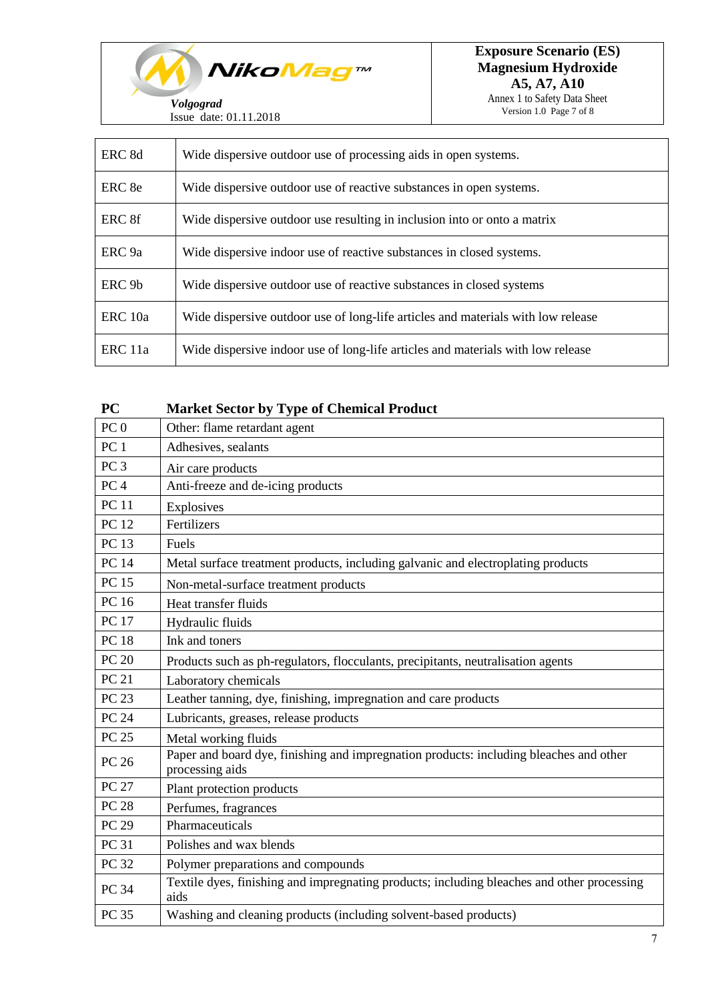*NikoMag™ Volgograd*

Issue date: 01.11.2018

| ERC 8d            | Wide dispersive outdoor use of processing aids in open systems.                  |
|-------------------|----------------------------------------------------------------------------------|
| ERC 8e            | Wide dispersive outdoor use of reactive substances in open systems.              |
| ERC 8f            | Wide dispersive outdoor use resulting in inclusion into or onto a matrix         |
| ERC <sub>9a</sub> | Wide dispersive indoor use of reactive substances in closed systems.             |
| ERC <sub>9b</sub> | Wide dispersive outdoor use of reactive substances in closed systems             |
| ERC 10a           | Wide dispersive outdoor use of long-life articles and materials with low release |
| ERC 11a           | Wide dispersive indoor use of long-life articles and materials with low release  |

| <b>Market Sector by Type of Chemical Product</b>                                                          |
|-----------------------------------------------------------------------------------------------------------|
| Other: flame retardant agent                                                                              |
| Adhesives, sealants                                                                                       |
| Air care products                                                                                         |
| Anti-freeze and de-icing products                                                                         |
| Explosives                                                                                                |
| Fertilizers                                                                                               |
| Fuels                                                                                                     |
| Metal surface treatment products, including galvanic and electroplating products                          |
| Non-metal-surface treatment products                                                                      |
| Heat transfer fluids                                                                                      |
| Hydraulic fluids                                                                                          |
| Ink and toners                                                                                            |
| Products such as ph-regulators, flocculants, precipitants, neutralisation agents                          |
| Laboratory chemicals                                                                                      |
| Leather tanning, dye, finishing, impregnation and care products                                           |
| Lubricants, greases, release products                                                                     |
| Metal working fluids                                                                                      |
| Paper and board dye, finishing and impregnation products: including bleaches and other<br>processing aids |
| Plant protection products                                                                                 |
| Perfumes, fragrances                                                                                      |
| Pharmaceuticals                                                                                           |
| Polishes and wax blends                                                                                   |
| Polymer preparations and compounds                                                                        |
| Textile dyes, finishing and impregnating products; including bleaches and other processing<br>aids        |
| Washing and cleaning products (including solvent-based products)                                          |
|                                                                                                           |